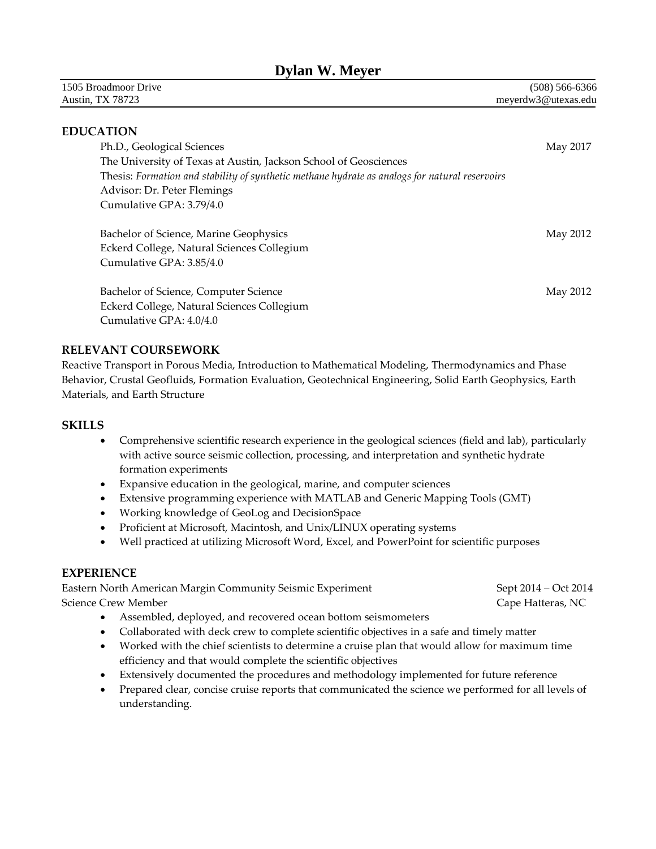# **Dylan W. Meyer**

| 1505 Broadmoor Drive    | $(508) 566 - 6366$  |
|-------------------------|---------------------|
| <b>Austin, TX 78723</b> | meverdw3@utexas.edu |

### **EDUCATION**

| Ph.D., Geological Sciences                                                                     | May 2017 |
|------------------------------------------------------------------------------------------------|----------|
| The University of Texas at Austin, Jackson School of Geosciences                               |          |
| Thesis: Formation and stability of synthetic methane hydrate as analogs for natural reservoirs |          |
| Advisor: Dr. Peter Flemings                                                                    |          |
| Cumulative GPA: 3.79/4.0                                                                       |          |
|                                                                                                |          |

Bachelor of Science, Marine Geophysics **May 2012** May 2012 Eckerd College, Natural Sciences Collegium Cumulative GPA: 3.85/4.0

**Bachelor of Science, Computer Science** May 2012 Eckerd College, Natural Sciences Collegium Cumulative GPA: 4.0/4.0

### **RELEVANT COURSEWORK**

Reactive Transport in Porous Media, Introduction to Mathematical Modeling, Thermodynamics and Phase Behavior, Crustal Geofluids, Formation Evaluation, Geotechnical Engineering, Solid Earth Geophysics, Earth Materials, and Earth Structure

### **SKILLS**

- Comprehensive scientific research experience in the geological sciences (field and lab), particularly with active source seismic collection, processing, and interpretation and synthetic hydrate formation experiments
- Expansive education in the geological, marine, and computer sciences
- Extensive programming experience with MATLAB and Generic Mapping Tools (GMT)
- Working knowledge of GeoLog and DecisionSpace
- Proficient at Microsoft, Macintosh, and Unix/LINUX operating systems
- Well practiced at utilizing Microsoft Word, Excel, and PowerPoint for scientific purposes

### **EXPERIENCE**

Eastern North American Margin Community Seismic Experiment Sept 2014 – Oct 2014 – Oct 2014 Science Crew Member **Cape Hatteras, NC** and Science Crew Member **Cape Hatteras**, NC

- Assembled, deployed, and recovered ocean bottom seismometers
- Collaborated with deck crew to complete scientific objectives in a safe and timely matter
- Worked with the chief scientists to determine a cruise plan that would allow for maximum time efficiency and that would complete the scientific objectives
- Extensively documented the procedures and methodology implemented for future reference
- Prepared clear, concise cruise reports that communicated the science we performed for all levels of understanding.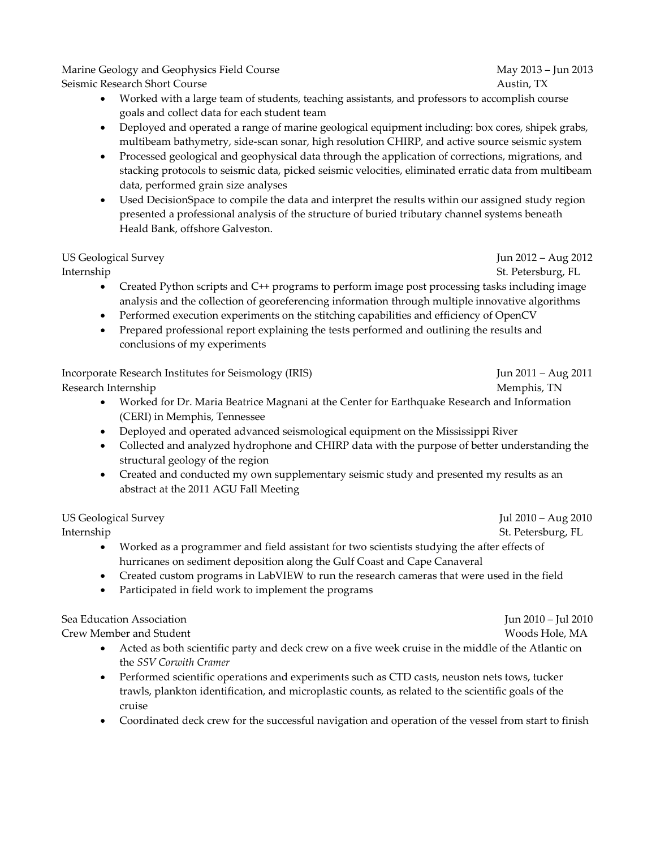Marine Geology and Geophysics Field Course May 2013 – Jun 2013 – Jun 2013 Seismic Research Short CourseAustin, TX

- Worked with a large team of students, teaching assistants, and professors to accomplish course goals and collect data for each student team
- Deployed and operated a range of marine geological equipment including: box cores, shipek grabs, multibeam bathymetry, side-scan sonar, high resolution CHIRP, and active source seismic system
- Processed geological and geophysical data through the application of corrections, migrations, and stacking protocols to seismic data, picked seismic velocities, eliminated erratic data from multibeam data, performed grain size analyses
- Used DecisionSpace to compile the data and interpret the results within our assigned study region presented a professional analysis of the structure of buried tributary channel systems beneath Heald Bank, offshore Galveston.

# US Geological Survey Jun 2012 – Aug 2012

InternshipSt. Petersburg, FL

- Created Python scripts and C++ programs to perform image post processing tasks including image analysis and the collection of georeferencing information through multiple innovative algorithms
- Performed execution experiments on the stitching capabilities and efficiency of OpenCV
- Prepared professional report explaining the tests performed and outlining the results and conclusions of my experiments

Incorporate Research Institutes for Seismology (IRIS) Jun 2011 – Aug 2011 Research Internship *Memphis, TN* 

- Worked for Dr. Maria Beatrice Magnani at the Center for Earthquake Research and Information (CERI) in Memphis, Tennessee
- Deployed and operated advanced seismological equipment on the Mississippi River
- Collected and analyzed hydrophone and CHIRP data with the purpose of better understanding the structural geology of the region
- Created and conducted my own supplementary seismic study and presented my results as an abstract at the 2011 AGU Fall Meeting

US Geological Survey Jul 2010 – Aug 2010

- Worked as a programmer and field assistant for two scientists studying the after effects of hurricanes on sediment deposition along the Gulf Coast and Cape Canaveral
- Created custom programs in LabVIEW to run the research cameras that were used in the field
- Participated in field work to implement the programs

Sea Education Association Jun 2010 – Jul 2010 Crew Member and Student Woods Hole, MA

- Acted as both scientific party and deck crew on a five week cruise in the middle of the Atlantic on the *SSV Corwith Cramer*
- Performed scientific operations and experiments such as CTD casts, neuston nets tows, tucker trawls, plankton identification, and microplastic counts, as related to the scientific goals of the cruise
- Coordinated deck crew for the successful navigation and operation of the vessel from start to finish

Internship St. Petersburg, FL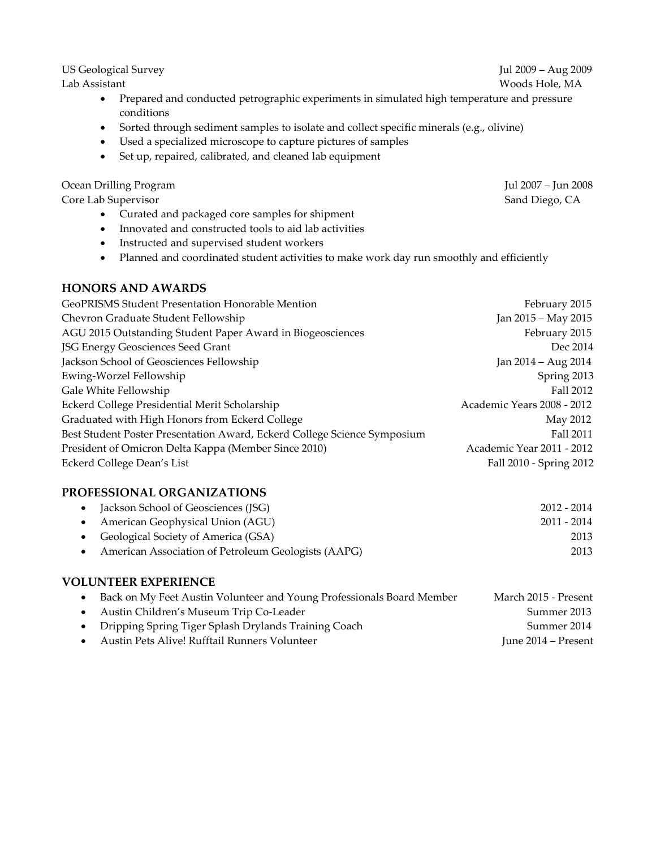Lab Assistant Woods Hole, MA

- Prepared and conducted petrographic experiments in simulated high temperature and pressure conditions
- Sorted through sediment samples to isolate and collect specific minerals (e.g., olivine)
- Used a specialized microscope to capture pictures of samples
- Set up, repaired, calibrated, and cleaned lab equipment

Ocean Drilling Program Jul 2007 – Jun 2008

Core Lab Supervisor Sand Diego, CA

- Curated and packaged core samples for shipment
- Innovated and constructed tools to aid lab activities
- Instructed and supervised student workers
- Planned and coordinated student activities to make work day run smoothly and efficiently

### **HONORS AND AWARDS**

|                                                                          | Jan 2015 – May 2015        |
|--------------------------------------------------------------------------|----------------------------|
| Chevron Graduate Student Fellowship                                      |                            |
| AGU 2015 Outstanding Student Paper Award in Biogeosciences               | February 2015              |
| JSG Energy Geosciences Seed Grant                                        | Dec 2014                   |
| Jackson School of Geosciences Fellowship                                 | Jan 2014 – Aug 2014        |
| Ewing-Worzel Fellowship                                                  | Spring 2013                |
| Gale White Fellowship                                                    | Fall 2012                  |
| Eckerd College Presidential Merit Scholarship                            | Academic Years 2008 - 2012 |
| Graduated with High Honors from Eckerd College                           | May 2012                   |
| Best Student Poster Presentation Award, Eckerd College Science Symposium | Fall 2011                  |
| President of Omicron Delta Kappa (Member Since 2010)                     | Academic Year 2011 - 2012  |
| Eckerd College Dean's List                                               | Fall 2010 - Spring 2012    |

### **PROFESSIONAL ORGANIZATIONS**

| • Jackson School of Geosciences (JSG)               | 2012 - 2014 |
|-----------------------------------------------------|-------------|
| • American Geophysical Union (AGU)                  | 2011 - 2014 |
| • Geological Society of America (GSA)               | 2013        |
| American Association of Petroleum Geologists (AAPG) | 2013        |

### **VOLUNTEER EXPERIENCE**

|           | Back on My Feet Austin Volunteer and Young Professionals Board Member | March 2015 - Present |
|-----------|-----------------------------------------------------------------------|----------------------|
|           | • Austin Children's Museum Trip Co-Leader                             | Summer 2013          |
|           | • Dripping Spring Tiger Splash Drylands Training Coach                | Summer 2014          |
| $\bullet$ | Austin Pets Alive! Rufftail Runners Volunteer                         | June 2014 – Present  |

US Geological Survey Jul 2009 – Aug 2009